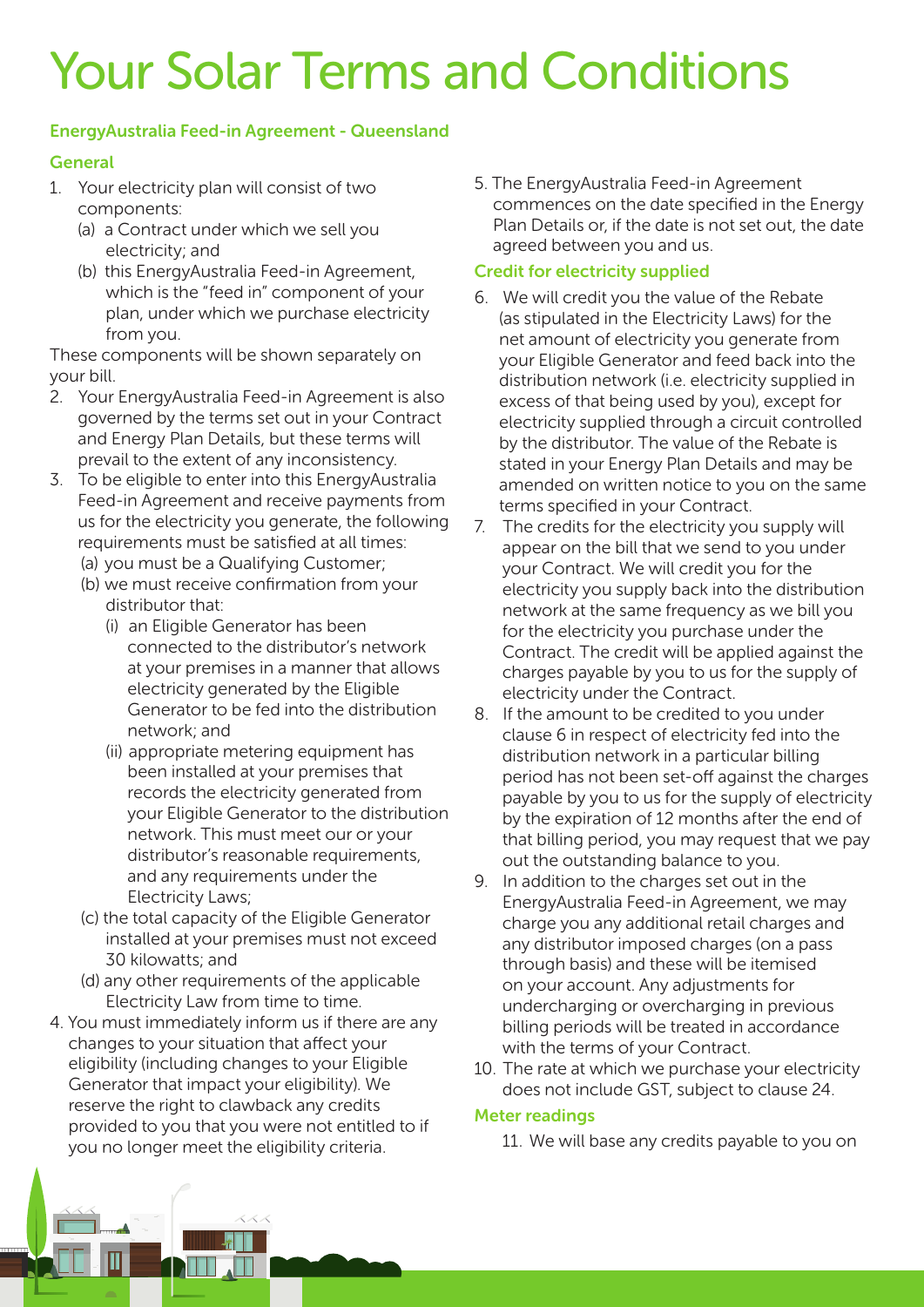# Your Solar Terms and Conditions

### EnergyAustralia Feed-in Agreement - Queensland

## General

- 1. Your electricity plan will consist of two components:
	- (a) a Contract under which we sell you electricity; and
	- (b) this EnergyAustralia Feed-in Agreement, which is the "feed in" component of your plan, under which we purchase electricity from you.

These components will be shown separately on your bill.

- 2. Your EnergyAustralia Feed-in Agreement is also governed by the terms set out in your Contract and Energy Plan Details, but these terms will prevail to the extent of any inconsistency.
- 3. To be eligible to enter into this EnergyAustralia Feed-in Agreement and receive payments from us for the electricity you generate, the following requirements must be satisfied at all times:
	- (a) you must be a Qualifying Customer;
	- (b) we must receive confirmation from your distributor that:
		- (i) an Eligible Generator has been connected to the distributor's network at your premises in a manner that allows electricity generated by the Eligible Generator to be fed into the distribution network; and
		- (ii) appropriate metering equipment has been installed at your premises that records the electricity generated from your Eligible Generator to the distribution network. This must meet our or your distributor's reasonable requirements, and any requirements under the Electricity Laws;
	- (c) the total capacity of the Eligible Generator installed at your premises must not exceed 30 kilowatts; and
	- (d) any other requirements of the applicable Electricity Law from time to time.
- 4. You must immediately inform us if there are any changes to your situation that affect your eligibility (including changes to your Eligible Generator that impact your eligibility). We reserve the right to clawback any credits provided to you that you were not entitled to if you no longer meet the eligibility criteria.

5. The EnergyAustralia Feed-in Agreement commences on the date specified in the Energy Plan Details or, if the date is not set out, the date agreed between you and us.

#### Credit for electricity supplied

- 6. We will credit you the value of the Rebate (as stipulated in the Electricity Laws) for the net amount of electricity you generate from your Eligible Generator and feed back into the distribution network (i.e. electricity supplied in excess of that being used by you), except for electricity supplied through a circuit controlled by the distributor. The value of the Rebate is stated in your Energy Plan Details and may be amended on written notice to you on the same terms specified in your Contract.
- 7. The credits for the electricity you supply will appear on the bill that we send to you under your Contract. We will credit you for the electricity you supply back into the distribution network at the same frequency as we bill you for the electricity you purchase under the Contract. The credit will be applied against the charges payable by you to us for the supply of electricity under the Contract.
- 8. If the amount to be credited to you under clause 6 in respect of electricity fed into the distribution network in a particular billing period has not been set-off against the charges payable by you to us for the supply of electricity by the expiration of 12 months after the end of that billing period, you may request that we pay out the outstanding balance to you.
- 9. In addition to the charges set out in the EnergyAustralia Feed-in Agreement, we may charge you any additional retail charges and any distributor imposed charges (on a pass through basis) and these will be itemised on your account. Any adjustments for undercharging or overcharging in previous billing periods will be treated in accordance with the terms of your Contract.
- 10. The rate at which we purchase your electricity does not include GST, subject to clause 24.

#### Meter readings

11. We will base any credits payable to you on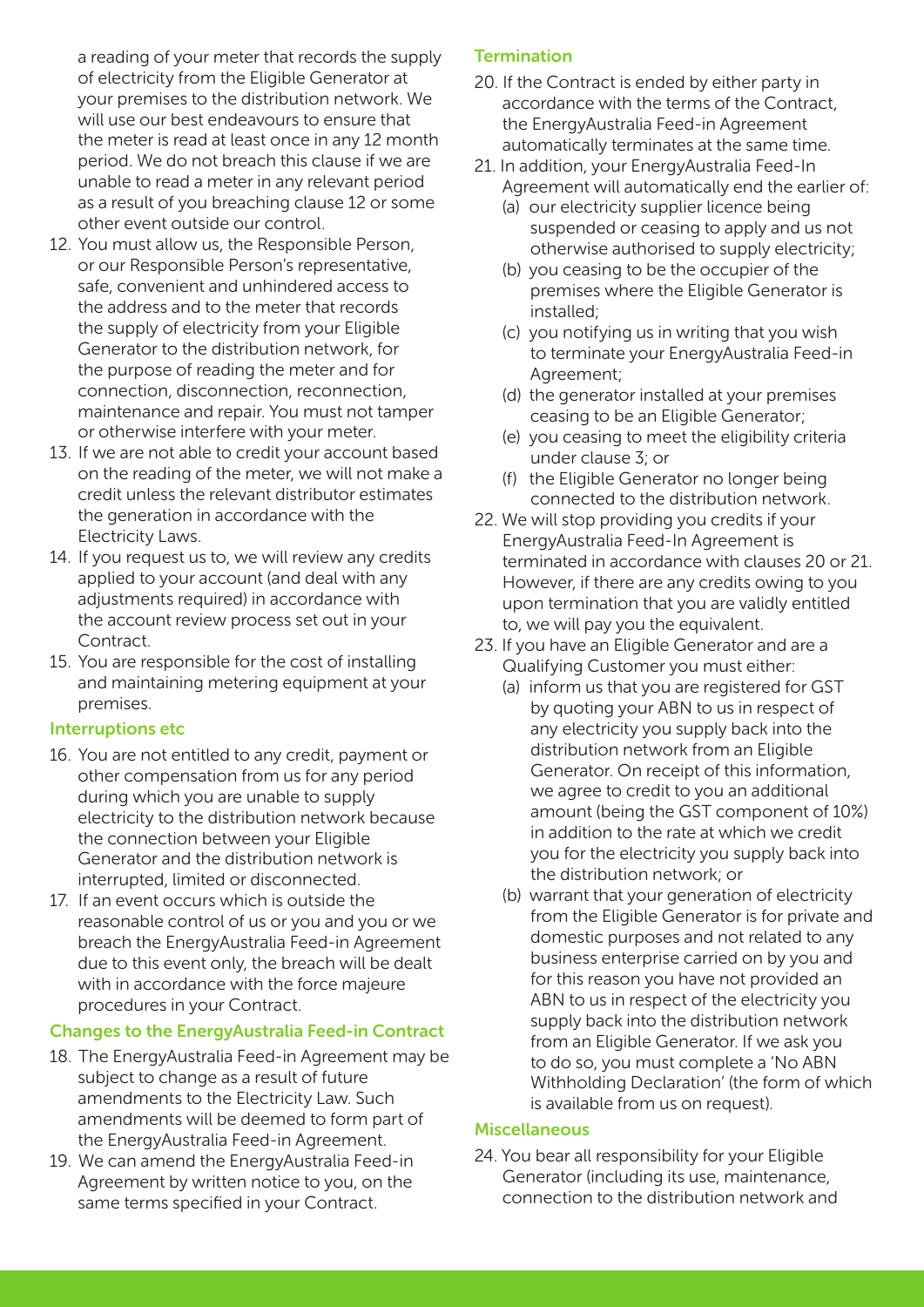a reading of your meter that records the supply of electricity from the Eligible Generator at your premises to the distribution network. We will use our best endeavours to ensure that the meter is read at least once in any 12 month period. We do not breach this clause if we are unable to read a meter in any relevant period as a result of you breaching clause 12 or some other event outside our control.

- 12. You must allow us, the Responsible Person, or our Responsible Person's representative, safe, convenient and unhindered access to the address and to the meter that records the supply of electricity from your Eligible Generator to the distribution network, for the purpose of reading the meter and for connection, disconnection, reconnection, maintenance and repair. You must not tamper or otherwise interfere with your meter.
- 13. If we are not able to credit your account based on the reading of the meter, we will not make a credit unless the relevant distributor estimates the generation in accordance with the Electricity Laws.
- 14. If you request us to, we will review any credits applied to your account (and deal with any adjustments required) in accordance with the account review process set out in your Contract.
- 15. You are responsible for the cost of installing and maintaining metering equipment at your premises.

#### Interruptions etc

- 16. You are not entitled to any credit, payment or other compensation from us for any period during which you are unable to supply electricity to the distribution network because the connection between your Eligible Generator and the distribution network is interrupted, limited or disconnected.
- 17. If an event occurs which is outside the reasonable control of us or you and you or we breach the EnergyAustralia Feed-in Agreement due to this event only, the breach will be dealt with in accordance with the force majeure procedures in your Contract.

#### Changes to the EnergyAustralia Feed-in Contract

- 18. The EnergyAustralia Feed-in Agreement may be subject to change as a result of future amendments to the Electricity Law. Such amendments will be deemed to form part of the EnergyAustralia Feed-in Agreement.
- 19. We can amend the EnergyAustralia Feed-in Agreement by written notice to you, on the same terms specified in your Contract.

#### **Termination**

- 20. If the Contract is ended by either party in accordance with the terms of the Contract the EnergyAustralia Feed-in Agreement automatically terminates at the same time.
- 21. In addition, your EnergyAustralia Feed-In Agreement will automatically end the earlier of:
	- (a) our electricity supplier licence being suspended or ceasing to apply and us not otherwise authorised to supply electricity;
	- (b) you ceasing to be the occupier of the premises where the Eligible Generator is installed;
	- (c) you notifying us in writing that you wish to terminate your EnergyAustralia Feed-in Agreement;
	- (d) the generator installed at your premises ceasing to be an Eligible Generator;
	- (e) you ceasing to meet the eligibility criteria under clause 3; or
	- (f) the Eligible Generator no longer being connected to the distribution network.
- 22. We will stop providing you credits if your EnergyAustralia Feed-In Agreement is terminated in accordance with clauses 20 or 21. However, if there are any credits owing to you upon termination that you are validly entitled to, we will pay you the equivalent.
- 23. If you have an Eligible Generator and are a Qualifying Customer you must either:
	- (a) inform us that you are registered for GST by quoting your ABN to us in respect of any electricity you supply back into the distribution network from an Eligible Generator. On receipt of this information, we agree to credit to you an additional amount (being the GST component of 10%) in addition to the rate at which we credit you for the electricity you supply back into the distribution network; or
	- (b) warrant that your generation of electricity from the Eligible Generator is for private and domestic purposes and not related to any business enterprise carried on by you and for this reason you have not provided an ABN to us in respect of the electricity you supply back into the distribution network from an Eligible Generator. If we ask you to do so, you must complete a 'No ABN Withholding Declaration' (the form of which is available from us on request).

#### **Miscellaneous**

24. You bear all responsibility for your Eligible Generator (including its use, maintenance, connection to the distribution network and